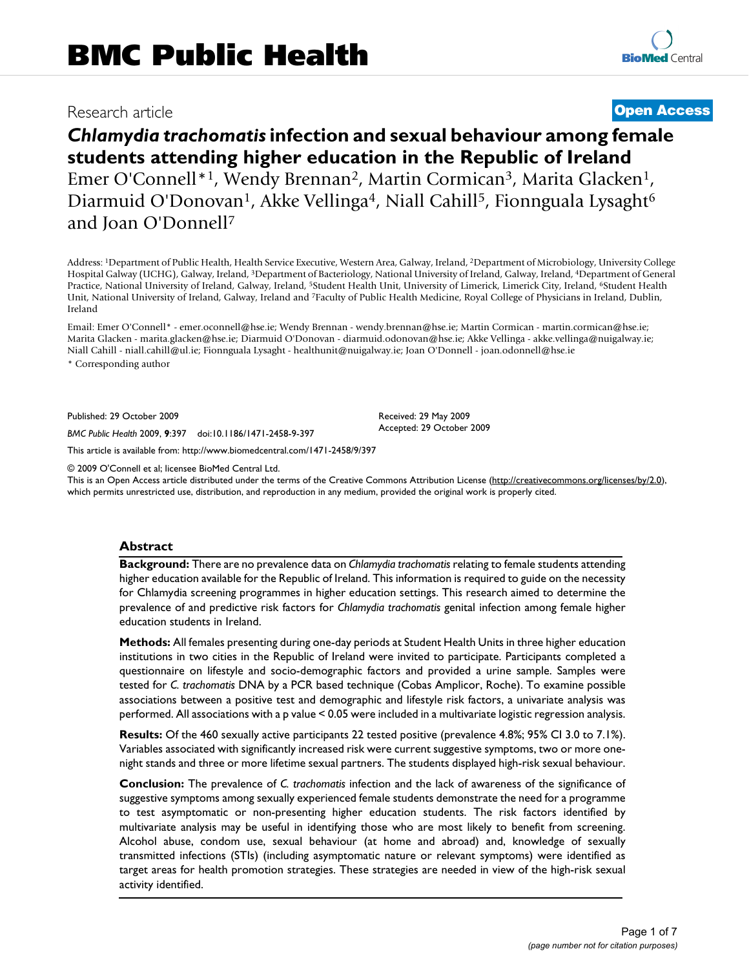# Research article **[Open Access](http://www.biomedcentral.com/info/about/charter/)**

# *Chlamydia trachomatis* **infection and sexual behaviour among female students attending higher education in the Republic of Ireland** Emer O'Connell<sup>\*1</sup>, Wendy Brennan<sup>2</sup>, Martin Cormican<sup>3</sup>, Marita Glacken<sup>1</sup>, Diarmuid O'Donovan<sup>1</sup>, Akke Vellinga<sup>4</sup>, Niall Cahill<sup>5</sup>, Fionnguala Lysaght<sup>6</sup> and Joan O'Donnell7

Address: 1Department of Public Health, Health Service Executive, Western Area, Galway, Ireland, 2Department of Microbiology, University College Hospital Galway (UCHG), Galway, Ireland, 3Department of Bacteriology, National University of Ireland, Galway, Ireland, 4Department of General Practice, National University of Ireland, Galway, Ireland, 5Student Health Unit, University of Limerick, Limerick City, Ireland, 6Student Health Unit, National University of Ireland, Galway, Ireland and 7Faculty of Public Health Medicine, Royal College of Physicians in Ireland, Dublin, Ireland

Email: Emer O'Connell\* - emer.oconnell@hse.ie; Wendy Brennan - wendy.brennan@hse.ie; Martin Cormican - martin.cormican@hse.ie; Marita Glacken - marita.glacken@hse.ie; Diarmuid O'Donovan - diarmuid.odonovan@hse.ie; Akke Vellinga - akke.vellinga@nuigalway.ie; Niall Cahill - niall.cahill@ul.ie; Fionnguala Lysaght - healthunit@nuigalway.ie; Joan O'Donnell - joan.odonnell@hse.ie \* Corresponding author

Published: 29 October 2009

*BMC Public Health* 2009, **9**:397 doi:10.1186/1471-2458-9-397

[This article is available from: http://www.biomedcentral.com/1471-2458/9/397](http://www.biomedcentral.com/1471-2458/9/397)

© 2009 O'Connell et al; licensee BioMed Central Ltd.

This is an Open Access article distributed under the terms of the Creative Commons Attribution License [\(http://creativecommons.org/licenses/by/2.0\)](http://creativecommons.org/licenses/by/2.0), which permits unrestricted use, distribution, and reproduction in any medium, provided the original work is properly cited.

Received: 29 May 2009 Accepted: 29 October 2009

### **Abstract**

**Background:** There are no prevalence data on *Chlamydia trachomatis* relating to female students attending higher education available for the Republic of Ireland. This information is required to guide on the necessity for Chlamydia screening programmes in higher education settings. This research aimed to determine the prevalence of and predictive risk factors for *Chlamydia trachomatis* genital infection among female higher education students in Ireland.

**Methods:** All females presenting during one-day periods at Student Health Units in three higher education institutions in two cities in the Republic of Ireland were invited to participate. Participants completed a questionnaire on lifestyle and socio-demographic factors and provided a urine sample. Samples were tested for *C. trachomatis* DNA by a PCR based technique (Cobas Amplicor, Roche). To examine possible associations between a positive test and demographic and lifestyle risk factors, a univariate analysis was performed. All associations with a p value < 0.05 were included in a multivariate logistic regression analysis.

**Results:** Of the 460 sexually active participants 22 tested positive (prevalence 4.8%; 95% CI 3.0 to 7.1%). Variables associated with significantly increased risk were current suggestive symptoms, two or more onenight stands and three or more lifetime sexual partners. The students displayed high-risk sexual behaviour.

**Conclusion:** The prevalence of *C. trachomatis* infection and the lack of awareness of the significance of suggestive symptoms among sexually experienced female students demonstrate the need for a programme to test asymptomatic or non-presenting higher education students. The risk factors identified by multivariate analysis may be useful in identifying those who are most likely to benefit from screening. Alcohol abuse, condom use, sexual behaviour (at home and abroad) and, knowledge of sexually transmitted infections (STIs) (including asymptomatic nature or relevant symptoms) were identified as target areas for health promotion strategies. These strategies are needed in view of the high-risk sexual activity identified.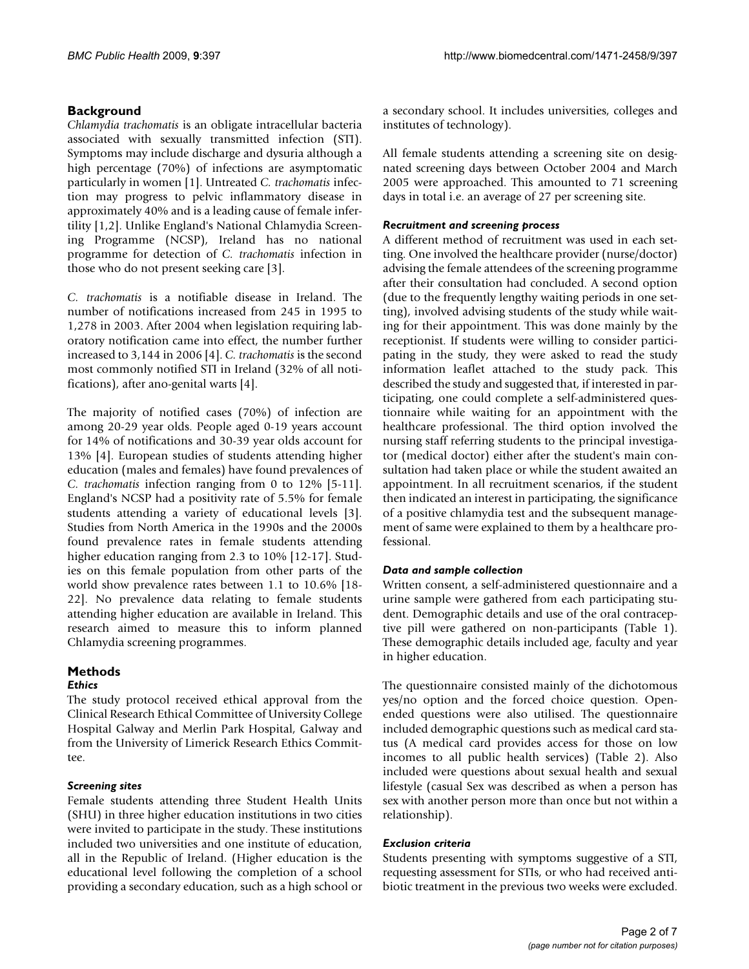# **Background**

*Chlamydia trachomatis* is an obligate intracellular bacteria associated with sexually transmitted infection (STI). Symptoms may include discharge and dysuria although a high percentage (70%) of infections are asymptomatic particularly in women [\[1\]](#page-5-0). Untreated *C. trachomatis* infection may progress to pelvic inflammatory disease in approximately 40% and is a leading cause of female infertility [[1](#page-5-0),[2\]](#page-5-1). Unlike England's National Chlamydia Screening Programme (NCSP), Ireland has no national programme for detection of *C. trachomatis* infection in those who do not present seeking care [[3](#page-5-2)].

*C. trachomatis* is a notifiable disease in Ireland. The number of notifications increased from 245 in 1995 to 1,278 in 2003. After 2004 when legislation requiring laboratory notification came into effect, the number further increased to 3,144 in 2006 [[4](#page-5-3)]. *C. trachomatis* is the second most commonly notified STI in Ireland (32% of all notifications), after ano-genital warts [\[4\]](#page-5-3).

The majority of notified cases (70%) of infection are among 20-29 year olds. People aged 0-19 years account for 14% of notifications and 30-39 year olds account for 13% [[4](#page-5-3)]. European studies of students attending higher education (males and females) have found prevalences of *C. trachomatis* infection ranging from 0 to 12% [[5](#page-5-4)[-11](#page-6-0)]. England's NCSP had a positivity rate of 5.5% for female students attending a variety of educational levels [[3](#page-5-2)]. Studies from North America in the 1990s and the 2000s found prevalence rates in female students attending higher education ranging from 2.3 to 10% [[12](#page-6-1)[-17](#page-6-2)]. Studies on this female population from other parts of the world show prevalence rates between 1.1 to 10.6% [\[18](#page-6-3)- [22\]](#page-6-4). No prevalence data relating to female students attending higher education are available in Ireland. This research aimed to measure this to inform planned Chlamydia screening programmes.

# **Methods**

# *Ethics*

The study protocol received ethical approval from the Clinical Research Ethical Committee of University College Hospital Galway and Merlin Park Hospital, Galway and from the University of Limerick Research Ethics Committee.

# *Screening sites*

Female students attending three Student Health Units (SHU) in three higher education institutions in two cities were invited to participate in the study. These institutions included two universities and one institute of education, all in the Republic of Ireland. (Higher education is the educational level following the completion of a school providing a secondary education, such as a high school or

a secondary school. It includes universities, colleges and institutes of technology).

All female students attending a screening site on designated screening days between October 2004 and March 2005 were approached. This amounted to 71 screening days in total i.e. an average of 27 per screening site.

# *Recruitment and screening process*

A different method of recruitment was used in each setting. One involved the healthcare provider (nurse/doctor) advising the female attendees of the screening programme after their consultation had concluded. A second option (due to the frequently lengthy waiting periods in one setting), involved advising students of the study while waiting for their appointment. This was done mainly by the receptionist. If students were willing to consider participating in the study, they were asked to read the study information leaflet attached to the study pack. This described the study and suggested that, if interested in participating, one could complete a self-administered questionnaire while waiting for an appointment with the healthcare professional. The third option involved the nursing staff referring students to the principal investigator (medical doctor) either after the student's main consultation had taken place or while the student awaited an appointment. In all recruitment scenarios, if the student then indicated an interest in participating, the significance of a positive chlamydia test and the subsequent management of same were explained to them by a healthcare professional.

# *Data and sample collection*

Written consent, a self-administered questionnaire and a urine sample were gathered from each participating student. Demographic details and use of the oral contraceptive pill were gathered on non-participants (Table [1\)](#page-2-0). These demographic details included age, faculty and year in higher education.

The questionnaire consisted mainly of the dichotomous yes/no option and the forced choice question. Openended questions were also utilised. The questionnaire included demographic questions such as medical card status (A medical card provides access for those on low incomes to all public health services) (Table [2](#page-2-1)). Also included were questions about sexual health and sexual lifestyle (casual Sex was described as when a person has sex with another person more than once but not within a relationship).

# *Exclusion criteria*

Students presenting with symptoms suggestive of a STI, requesting assessment for STIs, or who had received antibiotic treatment in the previous two weeks were excluded.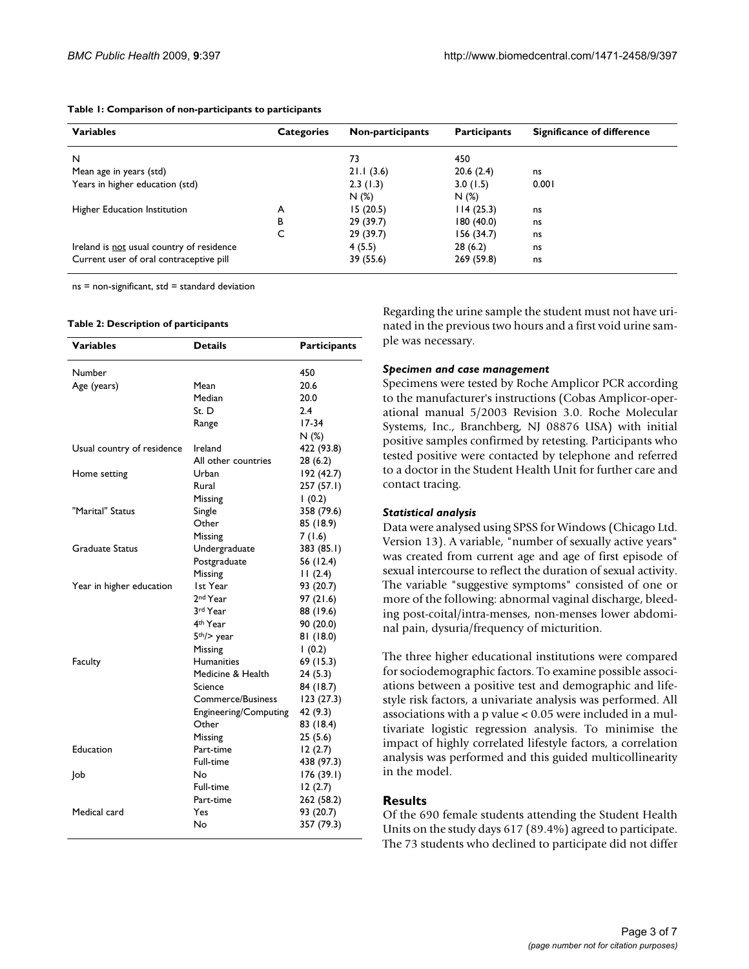| <b>Variables</b>                          | <b>Categories</b> | Non-participants | <b>Participants</b> | Significance of difference |  |  |
|-------------------------------------------|-------------------|------------------|---------------------|----------------------------|--|--|
| N                                         |                   | 73               | 450                 |                            |  |  |
| Mean age in years (std)                   |                   | 21.1(3.6)        | 20.6(2.4)           | ns                         |  |  |
| Years in higher education (std)           |                   | 2.3(1.3)         | 3.0(1.5)            | 0.001                      |  |  |
|                                           |                   | N(%)             | N(%)                |                            |  |  |
| Higher Education Institution              | A                 | 15(20.5)         | 114(25.3)           | ns                         |  |  |
|                                           | в                 | 29(39.7)         | 180(40.0)           | ns                         |  |  |
|                                           | C                 | 29 (39.7)        | 156(34.7)           | ns                         |  |  |
| Ireland is not usual country of residence |                   | 4(5.5)           | 28(6.2)             | ns                         |  |  |
| Current user of oral contraceptive pill   |                   | 39 (55.6)        | 269 (59.8)          | ns                         |  |  |

#### <span id="page-2-0"></span>**Table 1: Comparison of non-participants to participants**

ns = non-significant, std = standard deviation

#### <span id="page-2-1"></span>**Table 2: Description of participants**

| <b>Variables</b>           | <b>Details</b>        | <b>Participants</b> |  |
|----------------------------|-----------------------|---------------------|--|
| Number                     |                       | 450                 |  |
| Age (years)                | Mean                  | 20.6                |  |
|                            | Median                | 20.0                |  |
|                            | St. D                 | 2.4                 |  |
|                            | Range                 | $17-34$             |  |
|                            |                       | N(%)                |  |
| Usual country of residence | Ireland               | 422 (93.8)          |  |
|                            | All other countries   | 28(6.2)             |  |
| Home setting               | Urban                 | 192 (42.7)          |  |
|                            | Rural                 | 257 (57.1)          |  |
|                            | Missing               | (0.2)               |  |
| "Marital" Status           | Single                | 358 (79.6)          |  |
|                            | Other                 | 85 (18.9)           |  |
|                            | Missing               | 7(1.6)              |  |
| Graduate Status            | Undergraduate         | 383 (85.1)          |  |
|                            | Postgraduate          | 56 (12.4)           |  |
|                            | Missing               | 11(2.4)             |  |
| Year in higher education   | 1st Year              | 93 (20.7)           |  |
|                            | 2 <sup>nd</sup> Year  | 97 (21.6)           |  |
|                            | 3rd Year              | 88 (19.6)           |  |
|                            | 4 <sup>th</sup> Year  | 90 (20.0)           |  |
|                            | $5th/>$ year          | 81 (18.0)           |  |
|                            | Missing               | (0.2)               |  |
| Faculty                    | <b>Humanities</b>     | 69 (15.3)           |  |
|                            | Medicine & Health     | 24(5.3)             |  |
|                            | Science               | 84 (18.7)           |  |
|                            | Commerce/Business     | 123(27.3)           |  |
|                            | Engineering/Computing | 42 (9.3)            |  |
|                            | Other                 | 83 (18.4)           |  |
|                            | Missing               | 25(5.6)             |  |
| Education                  | Part-time             | 12(2.7)             |  |
|                            | Full-time             | 438 (97.3)          |  |
| Job                        | No                    | 176 (39.1)          |  |
|                            | Full-time             | 12(2.7)             |  |
|                            | Part-time             | 262 (58.2)          |  |
| Medical card               | Yes                   | 93 (20.7)           |  |
|                            | No                    | 357 (79.3)          |  |
|                            |                       |                     |  |

Regarding the urine sample the student must not have urinated in the previous two hours and a first void urine sample was necessary.

#### *Specimen and case management*

Specimens were tested by Roche Amplicor PCR according to the manufacturer's instructions (Cobas Amplicor-operational manual 5/2003 Revision 3.0. Roche Molecular Systems, Inc., Branchberg, NJ 08876 USA) with initial positive samples confirmed by retesting. Participants who tested positive were contacted by telephone and referred to a doctor in the Student Health Unit for further care and contact tracing.

#### *Statistical analysis*

Data were analysed using SPSS for Windows (Chicago Ltd. Version 13). A variable, "number of sexually active years" was created from current age and age of first episode of sexual intercourse to reflect the duration of sexual activity. The variable "suggestive symptoms" consisted of one or more of the following: abnormal vaginal discharge, bleeding post-coital/intra-menses, non-menses lower abdominal pain, dysuria/frequency of micturition.

The three higher educational institutions were compared for sociodemographic factors. To examine possible associations between a positive test and demographic and lifestyle risk factors, a univariate analysis was performed. All associations with a p value < 0.05 were included in a multivariate logistic regression analysis. To minimise the impact of highly correlated lifestyle factors, a correlation analysis was performed and this guided multicollinearity in the model.

### **Results**

Of the 690 female students attending the Student Health Units on the study days 617 (89.4%) agreed to participate. The 73 students who declined to participate did not differ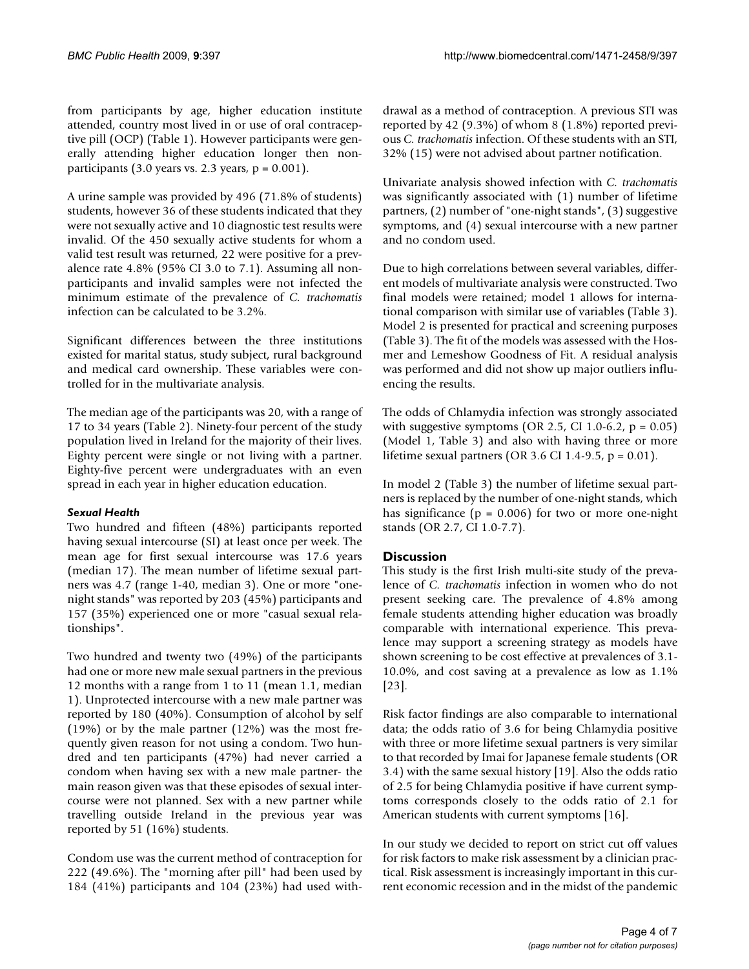from participants by age, higher education institute attended, country most lived in or use of oral contraceptive pill (OCP) (Table [1\)](#page-2-0). However participants were generally attending higher education longer then nonparticipants (3.0 years vs. 2.3 years,  $p = 0.001$ ).

A urine sample was provided by 496 (71.8% of students) students, however 36 of these students indicated that they were not sexually active and 10 diagnostic test results were invalid. Of the 450 sexually active students for whom a valid test result was returned, 22 were positive for a prevalence rate 4.8% (95% CI 3.0 to 7.1). Assuming all nonparticipants and invalid samples were not infected the minimum estimate of the prevalence of *C. trachomatis* infection can be calculated to be 3.2%.

Significant differences between the three institutions existed for marital status, study subject, rural background and medical card ownership. These variables were controlled for in the multivariate analysis.

The median age of the participants was 20, with a range of 17 to 34 years (Table [2\)](#page-2-1). Ninety-four percent of the study population lived in Ireland for the majority of their lives. Eighty percent were single or not living with a partner. Eighty-five percent were undergraduates with an even spread in each year in higher education education.

# *Sexual Health*

Two hundred and fifteen (48%) participants reported having sexual intercourse (SI) at least once per week. The mean age for first sexual intercourse was 17.6 years (median 17). The mean number of lifetime sexual partners was 4.7 (range 1-40, median 3). One or more "onenight stands" was reported by 203 (45%) participants and 157 (35%) experienced one or more "casual sexual relationships".

Two hundred and twenty two (49%) of the participants had one or more new male sexual partners in the previous 12 months with a range from 1 to 11 (mean 1.1, median 1). Unprotected intercourse with a new male partner was reported by 180 (40%). Consumption of alcohol by self (19%) or by the male partner (12%) was the most frequently given reason for not using a condom. Two hundred and ten participants (47%) had never carried a condom when having sex with a new male partner- the main reason given was that these episodes of sexual intercourse were not planned. Sex with a new partner while travelling outside Ireland in the previous year was reported by 51 (16%) students.

Condom use was the current method of contraception for 222 (49.6%). The "morning after pill" had been used by 184 (41%) participants and 104 (23%) had used withdrawal as a method of contraception. A previous STI was reported by 42 (9.3%) of whom 8 (1.8%) reported previous *C. trachomatis* infection. Of these students with an STI, 32% (15) were not advised about partner notification.

Univariate analysis showed infection with *C. trachomatis* was significantly associated with (1) number of lifetime partners, (2) number of "one-night stands", (3) suggestive symptoms, and (4) sexual intercourse with a new partner and no condom used.

Due to high correlations between several variables, different models of multivariate analysis were constructed. Two final models were retained; model 1 allows for international comparison with similar use of variables (Table [3\)](#page-4-0). Model 2 is presented for practical and screening purposes (Table [3](#page-4-0)). The fit of the models was assessed with the Hosmer and Lemeshow Goodness of Fit. A residual analysis was performed and did not show up major outliers influencing the results.

The odds of Chlamydia infection was strongly associated with suggestive symptoms (OR 2.5, CI 1.0-6.2,  $p = 0.05$ ) (Model 1, Table [3](#page-4-0)) and also with having three or more lifetime sexual partners (OR 3.6 CI 1.4-9.5, p = 0.01).

In model 2 (Table [3\)](#page-4-0) the number of lifetime sexual partners is replaced by the number of one-night stands, which has significance ( $p = 0.006$ ) for two or more one-night stands (OR 2.7, CI 1.0-7.7).

# **Discussion**

This study is the first Irish multi-site study of the prevalence of *C. trachomatis* infection in women who do not present seeking care. The prevalence of 4.8% among female students attending higher education was broadly comparable with international experience. This prevalence may support a screening strategy as models have shown screening to be cost effective at prevalences of 3.1- 10.0%, and cost saving at a prevalence as low as 1.1% [[23](#page-6-5)].

Risk factor findings are also comparable to international data; the odds ratio of 3.6 for being Chlamydia positive with three or more lifetime sexual partners is very similar to that recorded by Imai for Japanese female students (OR 3.4) with the same sexual history [\[19](#page-6-6)]. Also the odds ratio of 2.5 for being Chlamydia positive if have current symptoms corresponds closely to the odds ratio of 2.1 for American students with current symptoms [\[16](#page-6-7)].

In our study we decided to report on strict cut off values for risk factors to make risk assessment by a clinician practical. Risk assessment is increasingly important in this current economic recession and in the midst of the pandemic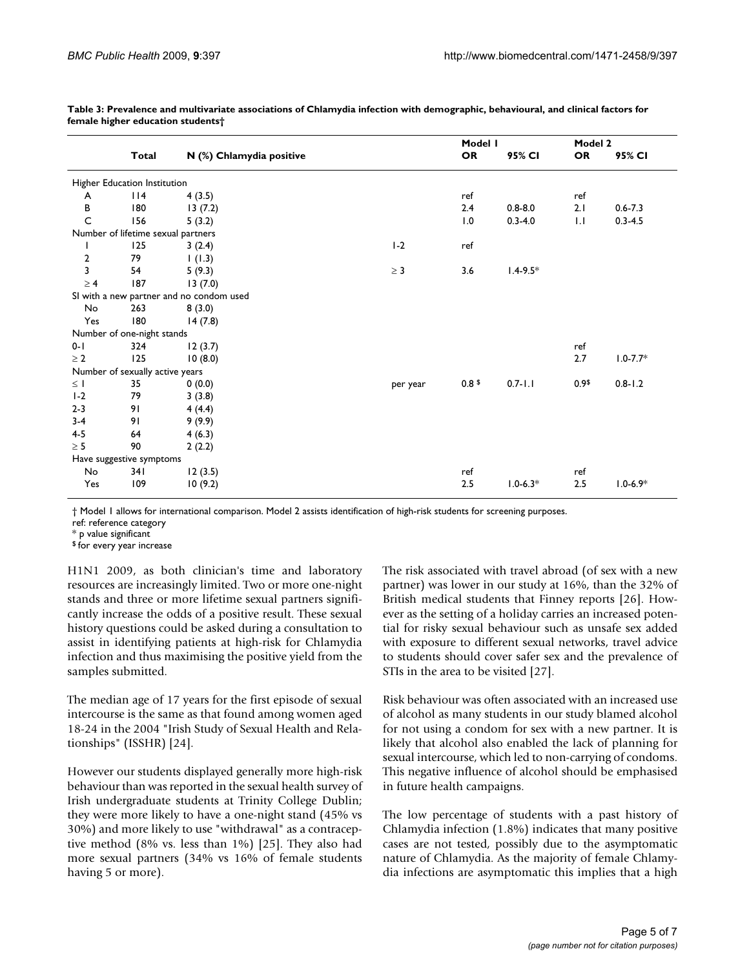|                         |                                    |                                          |          | Model I          |              | Model 2          |              |
|-------------------------|------------------------------------|------------------------------------------|----------|------------------|--------------|------------------|--------------|
|                         | Total                              | N (%) Chlamydia positive                 |          | <b>OR</b>        | 95% CI       | <b>OR</b>        | 95% CI       |
|                         | Higher Education Institution       |                                          |          |                  |              |                  |              |
| A                       | 14                                 | 4(3.5)                                   |          | ref              |              | ref              |              |
| В                       | 180                                | 13(7.2)                                  |          | 2.4              | $0.8 - 8.0$  | 2.1              | $0.6 - 7.3$  |
| $\mathsf{C}$            | 156                                | 5(3.2)                                   |          | 1.0              | $0.3 - 4.0$  | 1.1              | $0.3 - 4.5$  |
|                         | Number of lifetime sexual partners |                                          |          |                  |              |                  |              |
|                         | 125                                | 3(2.4)                                   | $1-2$    | ref              |              |                  |              |
| $\overline{\mathbf{c}}$ | 79                                 | 1(1.3)                                   |          |                  |              |                  |              |
| $\overline{\mathbf{3}}$ | 54                                 | 5(9.3)                                   | $\geq$ 3 | 3.6              | $1.4 - 9.5*$ |                  |              |
| $\geq 4$                | 187                                | 13(7.0)                                  |          |                  |              |                  |              |
|                         |                                    | SI with a new partner and no condom used |          |                  |              |                  |              |
| No                      | 263                                | 8(3.0)                                   |          |                  |              |                  |              |
| Yes                     | 180                                | 14(7.8)                                  |          |                  |              |                  |              |
|                         | Number of one-night stands         |                                          |          |                  |              |                  |              |
| $0 - 1$                 | 324                                | 12(3.7)                                  |          |                  |              | ref              |              |
| $\geq$ 2                | 125                                | 10(8.0)                                  |          |                  |              | 2.7              | $1.0 - 7.7*$ |
|                         | Number of sexually active years    |                                          |          |                  |              |                  |              |
| $\leq$ 1                | 35                                 | 0(0.0)                                   | per year | 0.8 <sup>⁴</sup> | $0.7 - 1.1$  | 0.9 <sup>5</sup> | $0.8 - 1.2$  |
| $1-2$                   | 79                                 | 3(3.8)                                   |          |                  |              |                  |              |
| $2 - 3$                 | 91                                 | 4(4.4)                                   |          |                  |              |                  |              |
| $3-4$                   | 91                                 | 9(9.9)                                   |          |                  |              |                  |              |
| $4-5$                   | 64                                 | 4(6.3)                                   |          |                  |              |                  |              |
| $\geq 5$                | 90                                 | 2(2.2)                                   |          |                  |              |                  |              |
|                         | Have suggestive symptoms           |                                          |          |                  |              |                  |              |
| No                      | 341                                | 12(3.5)                                  |          | ref              |              | ref              |              |
| Yes                     | 109                                | 10(9.2)                                  |          | 2.5              | $1.0 - 6.3*$ | 2.5              | $1.0 - 6.9*$ |

<span id="page-4-0"></span>**Table 3: Prevalence and multivariate associations of Chlamydia infection with demographic, behavioural, and clinical factors for female higher education students†**

† Model 1 allows for international comparison. Model 2 assists identification of high-risk students for screening purposes.

ref: reference category

\* p value significant

\$ for every year increase

H1N1 2009, as both clinician's time and laboratory resources are increasingly limited. Two or more one-night stands and three or more lifetime sexual partners significantly increase the odds of a positive result. These sexual history questions could be asked during a consultation to assist in identifying patients at high-risk for Chlamydia infection and thus maximising the positive yield from the samples submitted.

The median age of 17 years for the first episode of sexual intercourse is the same as that found among women aged 18-24 in the 2004 "Irish Study of Sexual Health and Relationships" (ISSHR) [[24](#page-6-8)].

However our students displayed generally more high-risk behaviour than was reported in the sexual health survey of Irish undergraduate students at Trinity College Dublin; they were more likely to have a one-night stand (45% vs 30%) and more likely to use "withdrawal" as a contraceptive method (8% vs. less than 1%) [[25\]](#page-6-9). They also had more sexual partners (34% vs 16% of female students having 5 or more).

The risk associated with travel abroad (of sex with a new partner) was lower in our study at 16%, than the 32% of British medical students that Finney reports [[26\]](#page-6-10). However as the setting of a holiday carries an increased potential for risky sexual behaviour such as unsafe sex added with exposure to different sexual networks, travel advice to students should cover safer sex and the prevalence of STIs in the area to be visited [[27\]](#page-6-11).

Risk behaviour was often associated with an increased use of alcohol as many students in our study blamed alcohol for not using a condom for sex with a new partner. It is likely that alcohol also enabled the lack of planning for sexual intercourse, which led to non-carrying of condoms. This negative influence of alcohol should be emphasised in future health campaigns.

The low percentage of students with a past history of Chlamydia infection (1.8%) indicates that many positive cases are not tested, possibly due to the asymptomatic nature of Chlamydia. As the majority of female Chlamydia infections are asymptomatic this implies that a high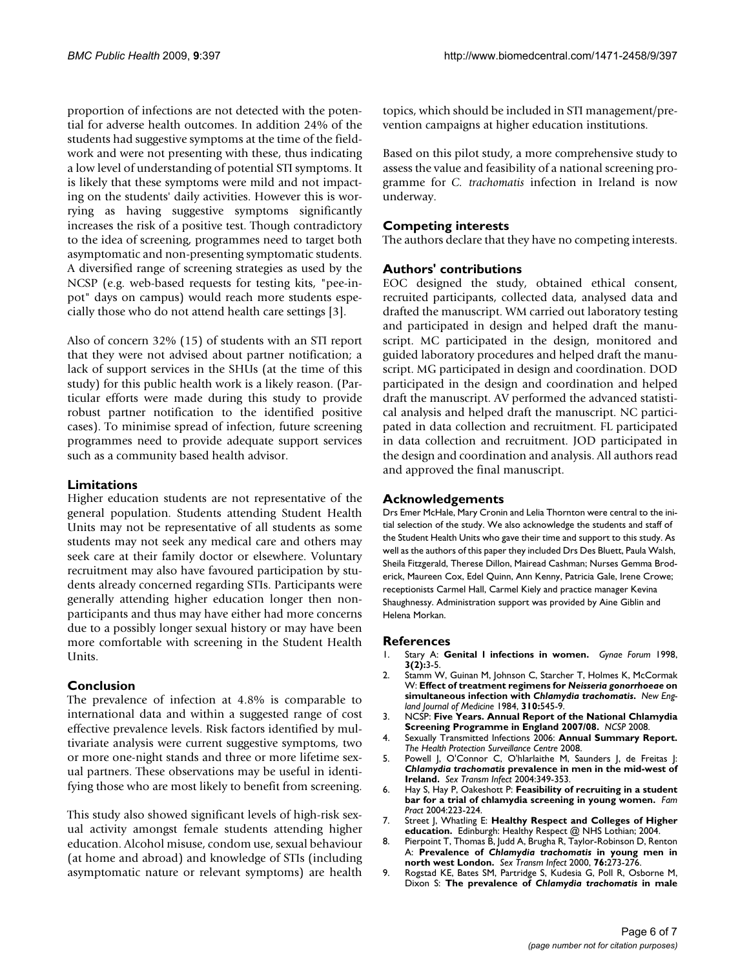proportion of infections are not detected with the potential for adverse health outcomes. In addition 24% of the students had suggestive symptoms at the time of the fieldwork and were not presenting with these, thus indicating a low level of understanding of potential STI symptoms. It is likely that these symptoms were mild and not impacting on the students' daily activities. However this is worrying as having suggestive symptoms significantly increases the risk of a positive test. Though contradictory to the idea of screening, programmes need to target both asymptomatic and non-presenting symptomatic students. A diversified range of screening strategies as used by the NCSP (e.g. web-based requests for testing kits, "pee-inpot" days on campus) would reach more students especially those who do not attend health care settings [\[3](#page-5-2)].

Also of concern 32% (15) of students with an STI report that they were not advised about partner notification; a lack of support services in the SHUs (at the time of this study) for this public health work is a likely reason. (Particular efforts were made during this study to provide robust partner notification to the identified positive cases). To minimise spread of infection, future screening programmes need to provide adequate support services such as a community based health advisor.

# **Limitations**

Higher education students are not representative of the general population. Students attending Student Health Units may not be representative of all students as some students may not seek any medical care and others may seek care at their family doctor or elsewhere. Voluntary recruitment may also have favoured participation by students already concerned regarding STIs. Participants were generally attending higher education longer then nonparticipants and thus may have either had more concerns due to a possibly longer sexual history or may have been more comfortable with screening in the Student Health Units.

# **Conclusion**

The prevalence of infection at 4.8% is comparable to international data and within a suggested range of cost effective prevalence levels. Risk factors identified by multivariate analysis were current suggestive symptoms, two or more one-night stands and three or more lifetime sexual partners. These observations may be useful in identifying those who are most likely to benefit from screening.

This study also showed significant levels of high-risk sexual activity amongst female students attending higher education. Alcohol misuse, condom use, sexual behaviour (at home and abroad) and knowledge of STIs (including asymptomatic nature or relevant symptoms) are health topics, which should be included in STI management/prevention campaigns at higher education institutions.

Based on this pilot study, a more comprehensive study to assess the value and feasibility of a national screening programme for *C. trachomatis* infection in Ireland is now underway.

# **Competing interests**

The authors declare that they have no competing interests.

# **Authors' contributions**

EOC designed the study, obtained ethical consent, recruited participants, collected data, analysed data and drafted the manuscript. WM carried out laboratory testing and participated in design and helped draft the manuscript. MC participated in the design, monitored and guided laboratory procedures and helped draft the manuscript. MG participated in design and coordination. DOD participated in the design and coordination and helped draft the manuscript. AV performed the advanced statistical analysis and helped draft the manuscript. NC participated in data collection and recruitment. FL participated in data collection and recruitment. JOD participated in the design and coordination and analysis. All authors read and approved the final manuscript.

### **Acknowledgements**

Drs Emer McHale, Mary Cronin and Lelia Thornton were central to the initial selection of the study. We also acknowledge the students and staff of the Student Health Units who gave their time and support to this study. As well as the authors of this paper they included Drs Des Bluett, Paula Walsh, Sheila Fitzgerald, Therese Dillon, Mairead Cashman; Nurses Gemma Broderick, Maureen Cox, Edel Quinn, Ann Kenny, Patricia Gale, Irene Crowe; receptionists Carmel Hall, Carmel Kiely and practice manager Kevina Shaughnessy. Administration support was provided by Aine Giblin and Helena Morkan.

# **References**

- <span id="page-5-0"></span>1. Stary A: **Genital l infections in women.** *Gynae Forum* 1998, **3(2):**3-5.
- <span id="page-5-1"></span>2. Stamm W, Guinan M, Johnson C, Starcher T, Holmes K, McCormak W: **Effect of treatment regimens for** *Neisseria gonorrhoeae* **on simultaneous infection with** *Chlamydia trachomatis***[.](http://www.ncbi.nlm.nih.gov/entrez/query.fcgi?cmd=Retrieve&db=PubMed&dopt=Abstract&list_uids=6363935)** *New England Journal of Medicine* 1984, **310:**545-9.
- <span id="page-5-2"></span>3. NCSP: **Five Years. Annual Report of the National Chlamydia Screening Programme in England 2007/08.** *NCSP* 2008.
- <span id="page-5-3"></span>4. Sexually Transmitted Infections 2006: **Annual Summary Report.** *The Health Protection Surveillance Centre* 2008.
- <span id="page-5-4"></span>5. Powell J, O'Connor C, O'hIarlaithe M, Saunders J, de Freitas J: *Chlamydia trachomatis* **[prevalence in men in the mid-west of](http://www.ncbi.nlm.nih.gov/entrez/query.fcgi?cmd=Retrieve&db=PubMed&dopt=Abstract&list_uids=15459401) [Ireland.](http://www.ncbi.nlm.nih.gov/entrez/query.fcgi?cmd=Retrieve&db=PubMed&dopt=Abstract&list_uids=15459401)** *Sex Transm Infect* 2004:349-353.
- 6. Hay S, Hay P, Oakeshott P: **[Feasibility of recruiting in a student](http://www.ncbi.nlm.nih.gov/entrez/query.fcgi?cmd=Retrieve&db=PubMed&dopt=Abstract&list_uids=15020399) [bar for a trial of chlamydia screening in young women.](http://www.ncbi.nlm.nih.gov/entrez/query.fcgi?cmd=Retrieve&db=PubMed&dopt=Abstract&list_uids=15020399)** *Fam Pract* 2004:223-224.
- 7. Street J, Whatling E: **Healthy Respect and Colleges of Higher education.** Edinburgh: Healthy Respect @ NHS Lothian; 2004.
- 8. Pierpoint T, Thomas B, Judd A, Brugha R, Taylor-Robinson D, Renton A: **Prevalence of** *Chlamydia trachomatis* **[in young men in](http://www.ncbi.nlm.nih.gov/entrez/query.fcgi?cmd=Retrieve&db=PubMed&dopt=Abstract&list_uids=11026882) [north west London.](http://www.ncbi.nlm.nih.gov/entrez/query.fcgi?cmd=Retrieve&db=PubMed&dopt=Abstract&list_uids=11026882)** *Sex Transm Infect* 2000, **76:**273-276.
- 9. Rogstad KE, Bates SM, Partridge S, Kudesia G, Poll R, Osborne M, Dixon S: **The prevalence of** *Chlamydia trachomatis* **[in male](http://www.ncbi.nlm.nih.gov/entrez/query.fcgi?cmd=Retrieve&db=PubMed&dopt=Abstract&list_uids=11287689)**